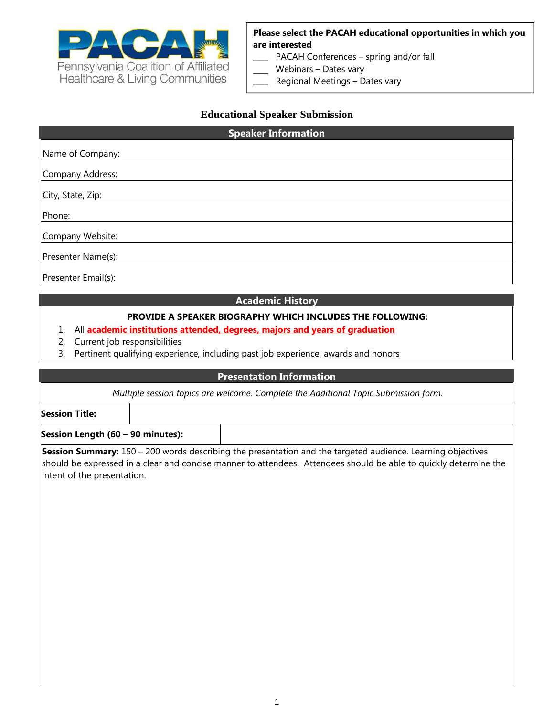

**Please select the PACAH educational opportunities in which you are interested** 

- PACAH Conferences spring and/or fall
- Webinars Dates vary
- Regional Meetings Dates vary

#### **Educational Speaker Submission**

# **Speaker Information** Name of Company: Company Address: City, State, Zip: Phone: Company Website: Presenter Name(s): Presenter Email(s):

#### **Academic History**

#### **PROVIDE A SPEAKER BIOGRAPHY WHICH INCLUDES THE FOLLOWING:**

- 1. All **academic institutions attended, degrees, majors and years of graduation**
- 2. Current job responsibilities
- 3. Pertinent qualifying experience, including past job experience, awards and honors

#### **Presentation Information**

*Multiple session topics are welcome. Complete the Additional Topic Submission form.*

**Session Title:**

**Session Length (60 – 90 minutes):** 

**Session Summary:** 150 – 200 words describing the presentation and the targeted audience. Learning objectives should be expressed in a clear and concise manner to attendees. Attendees should be able to quickly determine the intent of the presentation.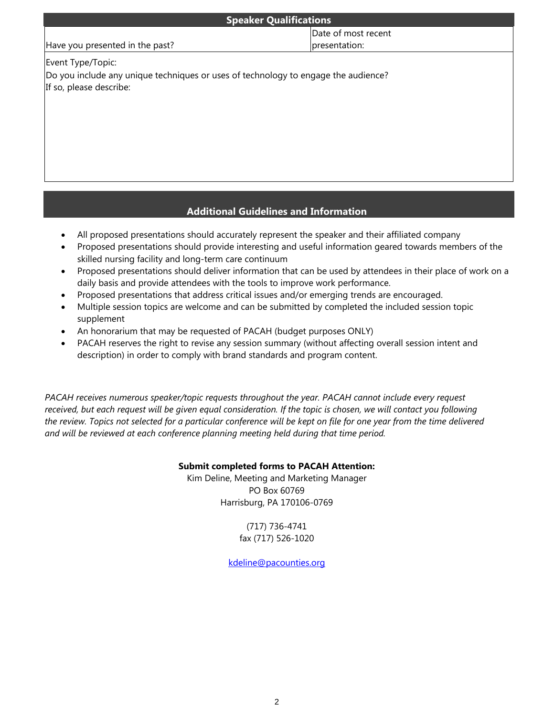| <b>Speaker Qualifications</b>                                                                                 |                     |  |
|---------------------------------------------------------------------------------------------------------------|---------------------|--|
|                                                                                                               | Date of most recent |  |
| Have you presented in the past?                                                                               | presentation:       |  |
| Event Type/Topic:                                                                                             |                     |  |
| Do you include any unique techniques or uses of technology to engage the audience?<br>If so, please describe: |                     |  |
|                                                                                                               |                     |  |
|                                                                                                               |                     |  |

### **Additional Guidelines and Information**

- All proposed presentations should accurately represent the speaker and their affiliated company
- Proposed presentations should provide interesting and useful information geared towards members of the skilled nursing facility and long-term care continuum
- Proposed presentations should deliver information that can be used by attendees in their place of work on a daily basis and provide attendees with the tools to improve work performance.
- Proposed presentations that address critical issues and/or emerging trends are encouraged.
- Multiple session topics are welcome and can be submitted by completed the included session topic supplement
- An honorarium that may be requested of PACAH (budget purposes ONLY)
- PACAH reserves the right to revise any session summary (without affecting overall session intent and description) in order to comply with brand standards and program content.

*PACAH receives numerous speaker/topic requests throughout the year. PACAH cannot include every request received, but each request will be given equal consideration. If the topic is chosen, we will contact you following the review. Topics not selected for a particular conference will be kept on file for one year from the time delivered and will be reviewed at each conference planning meeting held during that time period.* 

## **Submit completed forms to PACAH Attention:**

Kim Deline, Meeting and Marketing Manager PO Box 60769 Harrisburg, PA 170106-0769

> (717) 736-4741 fax (717) 526-1020

kdeline@pacounties.org